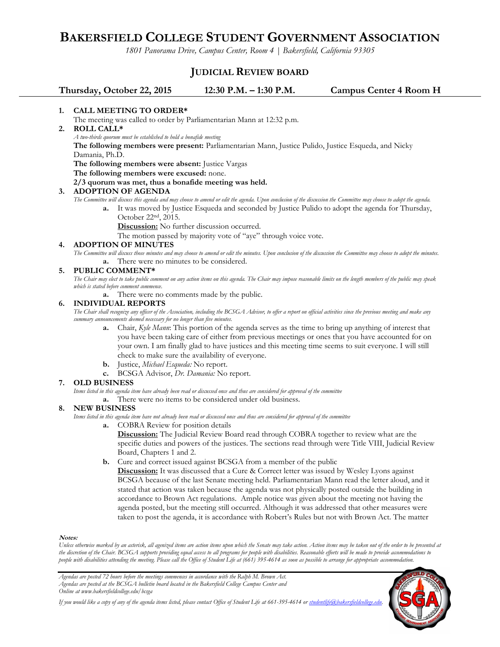# **BAKERSFIELD COLLEGE STUDENT GOVERNMENT ASSOCIATION**

*1801 Panorama Drive, Campus Center, Room 4 | Bakersfield, California 93305*

# **JUDICIAL REVIEW BOARD**

**Thursday, October 22, 2015 12:30 P.M. – 1:30 P.M. Campus Center 4 Room H**

# **1. CALL MEETING TO ORDER\***

The meeting was called to order by Parliamentarian Mann at 12:32 p.m.

**2. ROLL CALL\***

*A two-thirds quorum must be established to hold a bonafide meeting* 

**The following members were present:** Parliamentarian Mann, Justice Pulido, Justice Esqueda, and Nicky Damania, Ph.D.

**The following members were absent:** Justice Vargas

**The following members were excused:** none.

**2/3 quorum was met, thus a bonafide meeting was held.**

# **3. ADOPTION OF AGENDA**

*The Committee will discuss this agenda and may choose to amend or edit the agenda. Upon conclusion of the discussion the Committee may choose to adopt the agenda.*

- **a.** It was moved by Justice Esqueda and seconded by Justice Pulido to adopt the agenda for Thursday,
	- October 22nd, 2015.

**Discussion:** No further discussion occurred.

The motion passed by majority vote of "aye" through voice vote.

#### **4. ADOPTION OF MINUTES**

*The Committee will discuss those minutes and may choose to amend or edit the minutes. Upon conclusion of the discussion the Committee may choose to adopt the minutes.* **a.** There were no minutes to be considered.

#### **5. PUBLIC COMMENT\***

*The Chair may elect to take public comment on any action items on this agenda. The Chair may impose reasonable limits on the length members of the public may speak which is stated before comment commence.*

**a.** There were no comments made by the public.

## **6. INDIVIDUAL REPORTS**

*The Chair shall recognize any officer of the Association, including the BCSGA Advisor, to offer a report on official activities since the previous meeting and make any summary announcements deemed necessary for no longer than five minutes.*

- **a.** Chair, *Kyle Mann*: This portion of the agenda serves as the time to bring up anything of interest that you have been taking care of either from previous meetings or ones that you have accounted for on your own. I am finally glad to have justices and this meeting time seems to suit everyone. I will still check to make sure the availability of everyone.
- **b.** Justice, *Michael Esqueda:* No report.
- **c.** BCSGA Advisor, *Dr. Damania:* No report.

## **7. OLD BUSINESS**

*Items listed in this agenda item have already been read or discussed once and thus are considered for approval of the committee*

**a.** There were no items to be considered under old business.

## **8. NEW BUSINESS**

*Items listed in this agenda item have not already been read or discussed once and thus are considered for approval of the committee*

**a.** COBRA Review for position details

**Discussion:** The Judicial Review Board read through COBRA together to review what are the specific duties and powers of the justices. The sections read through were Title VIII, Judicial Review Board, Chapters 1 and 2.

**b.** Cure and correct issued against BCSGA from a member of the public

**Discussion:** It was discussed that a Cure & Correct letter was issued by Wesley Lyons against BCSGA because of the last Senate meeting held. Parliamentarian Mann read the letter aloud, and it stated that action was taken because the agenda was not physically posted outside the building in accordance to Brown Act regulations. Ample notice was given about the meeting not having the agenda posted, but the meeting still occurred. Although it was addressed that other measures were taken to post the agenda, it is accordance with Robert's Rules but not with Brown Act. The matter

#### **Notes:**

*Unless otherwise marked by an asterisk, all agenized items are action items upon which the Senate may take action. Action items may be taken out of the order to be presented at the discretion of the Chair. BCSGA supports providing equal access to all programs for people with disabilities. Reasonable efforts will be made to provide accommodations to people with disabilities attending the meeting. Please call the Office of Student Life at (661) 395-4614 as soon as possible to arrange for appropriate accommodation.*

*Agendas are posted 72 hours before the meetings commences in accordance with the Ralph M. Brown Act. Agendas are posted at the BCSGA bulletin board located in the Bakersfield College Campus Center and Online at www.bakersfieldcollege.edu/bcsga*



*If you would like a copy of any of the agenda items listed, please contact Office of Student Life at 661-395-4614 or [studentlife@bakersfieldcollege.edu.](mailto:studentlife@bakersfieldcollege.edu)*